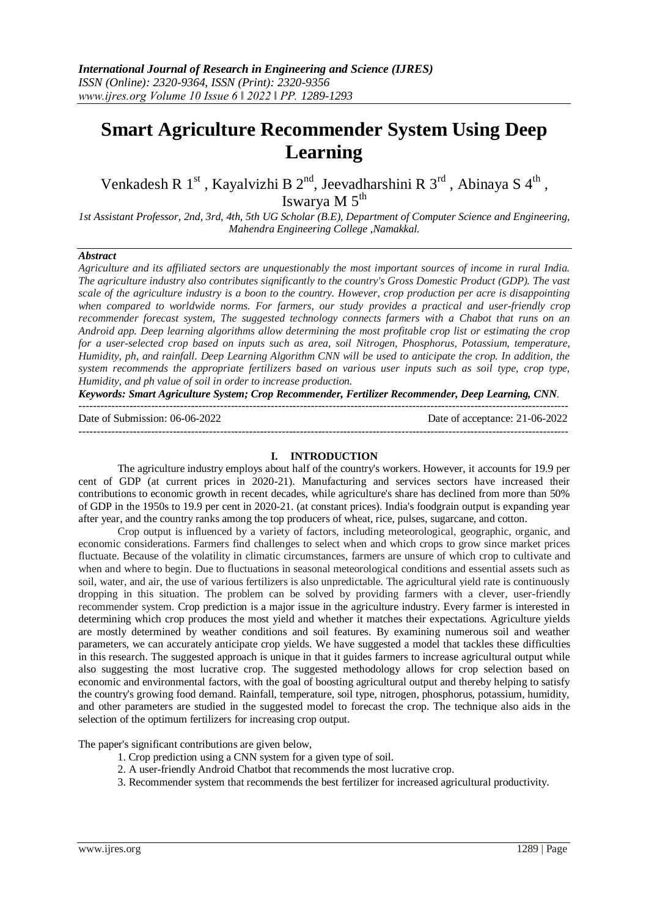# **Smart Agriculture Recommender System Using Deep Learning**

Venkadesh R 1<sup>st</sup>, Kayalvizhi B 2<sup>nd</sup>, Jeevadharshini R 3<sup>rd</sup>, Abinaya S 4<sup>th</sup>, Iswarya M $5^{th}$ 

*1st Assistant Professor, 2nd, 3rd, 4th, 5th UG Scholar (B.E), Department of Computer Science and Engineering, Mahendra Engineering College ,Namakkal.*

#### *Abstract*

*Agriculture and its affiliated sectors are unquestionably the most important sources of income in rural India. The agriculture industry also contributes significantly to the country's Gross Domestic Product (GDP). The vast scale of the agriculture industry is a boon to the country. However, crop production per acre is disappointing when compared to worldwide norms. For farmers, our study provides a practical and user-friendly crop recommender forecast system, The suggested technology connects farmers with a Chabot that runs on an Android app. Deep learning algorithms allow determining the most profitable crop list or estimating the crop for a user-selected crop based on inputs such as area, soil Nitrogen, Phosphorus, Potassium, temperature, Humidity, ph, and rainfall. Deep Learning Algorithm CNN will be used to anticipate the crop. In addition, the system recommends the appropriate fertilizers based on various user inputs such as soil type, crop type, Humidity, and ph value of soil in order to increase production.*

*Keywords: Smart Agriculture System; Crop Recommender, Fertilizer Recommender, Deep Learning, CNN.*

--------------------------------------------------------------------------------------------------------------------------------------- Date of Submission: 06-06-2022 Date of acceptance: 21-06-2022

---------------------------------------------------------------------------------------------------------------------------------------

#### **I. INTRODUCTION**

The agriculture industry employs about half of the country's workers. However, it accounts for 19.9 per cent of GDP (at current prices in 2020-21). Manufacturing and services sectors have increased their contributions to economic growth in recent decades, while agriculture's share has declined from more than 50% of GDP in the 1950s to 19.9 per cent in 2020-21. (at constant prices). India's foodgrain output is expanding year after year, and the country ranks among the top producers of wheat, rice, pulses, sugarcane, and cotton.

Crop output is influenced by a variety of factors, including meteorological, geographic, organic, and economic considerations. Farmers find challenges to select when and which crops to grow since market prices fluctuate. Because of the volatility in climatic circumstances, farmers are unsure of which crop to cultivate and when and where to begin. Due to fluctuations in seasonal meteorological conditions and essential assets such as soil, water, and air, the use of various fertilizers is also unpredictable. The agricultural yield rate is continuously dropping in this situation. The problem can be solved by providing farmers with a clever, user-friendly recommender system. Crop prediction is a major issue in the agriculture industry. Every farmer is interested in determining which crop produces the most yield and whether it matches their expectations. Agriculture yields are mostly determined by weather conditions and soil features. By examining numerous soil and weather parameters, we can accurately anticipate crop yields. We have suggested a model that tackles these difficulties in this research. The suggested approach is unique in that it guides farmers to increase agricultural output while also suggesting the most lucrative crop. The suggested methodology allows for crop selection based on economic and environmental factors, with the goal of boosting agricultural output and thereby helping to satisfy the country's growing food demand. Rainfall, temperature, soil type, nitrogen, phosphorus, potassium, humidity, and other parameters are studied in the suggested model to forecast the crop. The technique also aids in the selection of the optimum fertilizers for increasing crop output.

The paper's significant contributions are given below,

- 1. Crop prediction using a CNN system for a given type of soil.
- 2. A user-friendly Android Chatbot that recommends the most lucrative crop.
- 3. Recommender system that recommends the best fertilizer for increased agricultural productivity.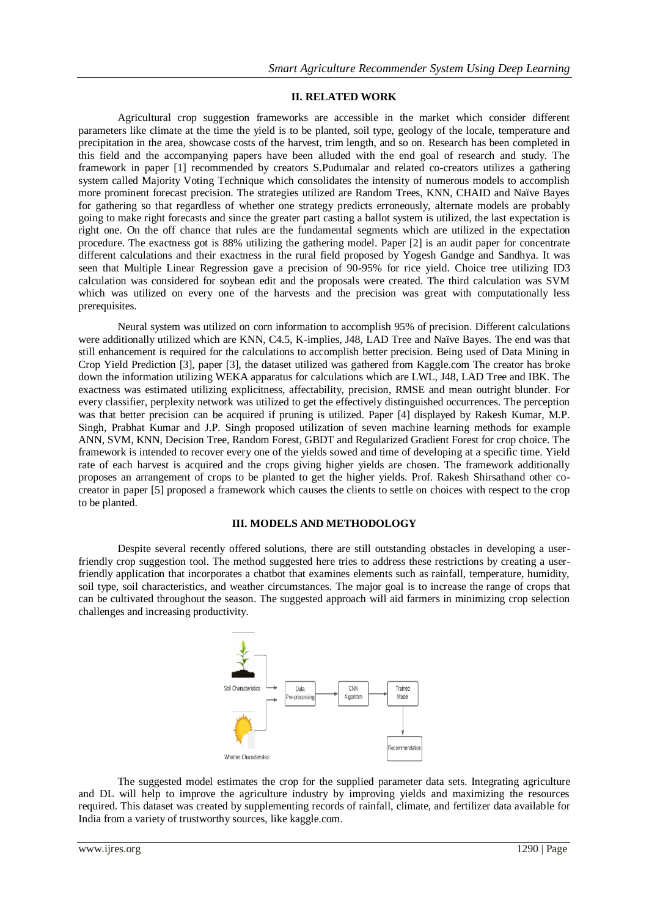#### **II. RELATED WORK**

Agricultural crop suggestion frameworks are accessible in the market which consider different parameters like climate at the time the yield is to be planted, soil type, geology of the locale, temperature and precipitation in the area, showcase costs of the harvest, trim length, and so on. Research has been completed in this field and the accompanying papers have been alluded with the end goal of research and study. The framework in paper [1] recommended by creators S.Pudumalar and related co-creators utilizes a gathering system called Majority Voting Technique which consolidates the intensity of numerous models to accomplish more prominent forecast precision. The strategies utilized are Random Trees, KNN, CHAID and Naïve Bayes for gathering so that regardless of whether one strategy predicts erroneously, alternate models are probably going to make right forecasts and since the greater part casting a ballot system is utilized, the last expectation is right one. On the off chance that rules are the fundamental segments which are utilized in the expectation procedure. The exactness got is 88% utilizing the gathering model. Paper [2] is an audit paper for concentrate different calculations and their exactness in the rural field proposed by Yogesh Gandge and Sandhya. It was seen that Multiple Linear Regression gave a precision of 90-95% for rice yield. Choice tree utilizing ID3 calculation was considered for soybean edit and the proposals were created. The third calculation was SVM which was utilized on every one of the harvests and the precision was great with computationally less prerequisites.

Neural system was utilized on corn information to accomplish 95% of precision. Different calculations were additionally utilized which are KNN, C4.5, K-implies, J48, LAD Tree and Naïve Bayes. The end was that still enhancement is required for the calculations to accomplish better precision. Being used of Data Mining in Crop Yield Prediction [3], paper [3], the dataset utilized was gathered from Kaggle.com The creator has broke down the information utilizing WEKA apparatus for calculations which are LWL, J48, LAD Tree and IBK. The exactness was estimated utilizing explicitness, affectability, precision, RMSE and mean outright blunder. For every classifier, perplexity network was utilized to get the effectively distinguished occurrences. The perception was that better precision can be acquired if pruning is utilized. Paper [4] displayed by Rakesh Kumar, M.P. Singh, Prabhat Kumar and J.P. Singh proposed utilization of seven machine learning methods for example ANN, SVM, KNN, Decision Tree, Random Forest, GBDT and Regularized Gradient Forest for crop choice. The framework is intended to recover every one of the yields sowed and time of developing at a specific time. Yield rate of each harvest is acquired and the crops giving higher yields are chosen. The framework additionally proposes an arrangement of crops to be planted to get the higher yields. Prof. Rakesh Shirsathand other cocreator in paper [5] proposed a framework which causes the clients to settle on choices with respect to the crop to be planted.

#### **III. MODELS AND METHODOLOGY**

Despite several recently offered solutions, there are still outstanding obstacles in developing a userfriendly crop suggestion tool. The method suggested here tries to address these restrictions by creating a userfriendly application that incorporates a chatbot that examines elements such as rainfall, temperature, humidity, soil type, soil characteristics, and weather circumstances. The major goal is to increase the range of crops that can be cultivated throughout the season. The suggested approach will aid farmers in minimizing crop selection challenges and increasing productivity.



The suggested model estimates the crop for the supplied parameter data sets. Integrating agriculture and DL will help to improve the agriculture industry by improving yields and maximizing the resources required. This dataset was created by supplementing records of rainfall, climate, and fertilizer data available for India from a variety of trustworthy sources, like kaggle.com.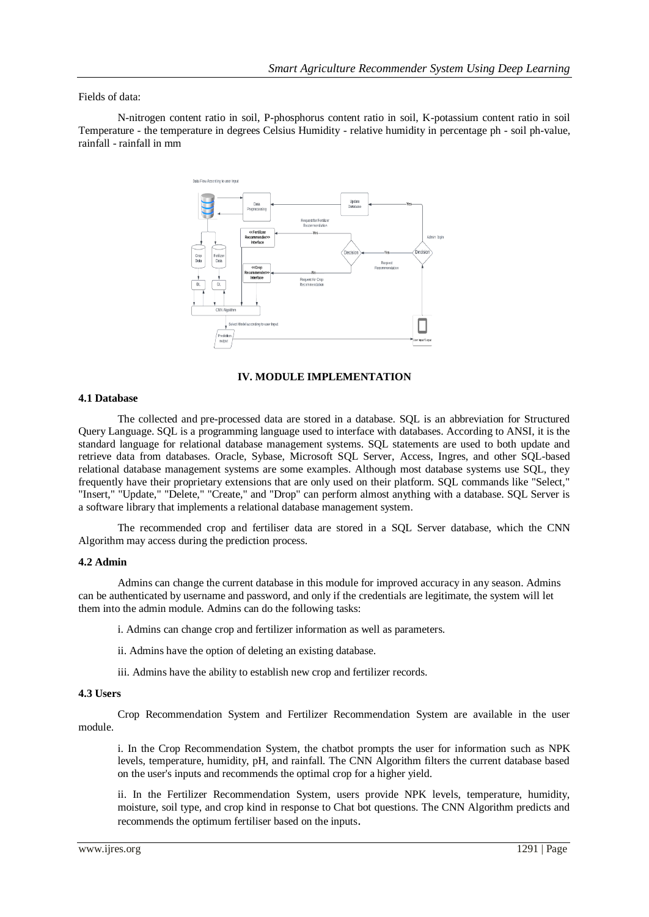#### Fields of data:

N-nitrogen content ratio in soil, P-phosphorus content ratio in soil, K-potassium content ratio in soil Temperature - the temperature in degrees Celsius Humidity - relative humidity in percentage ph - soil ph-value, rainfall - rainfall in mm



#### **IV. MODULE IMPLEMENTATION**

#### **4.1 Database**

The collected and pre-processed data are stored in a database. SQL is an abbreviation for Structured Query Language. SQL is a programming language used to interface with databases. According to ANSI, it is the standard language for relational database management systems. SQL statements are used to both update and retrieve data from databases. Oracle, Sybase, Microsoft SQL Server, Access, Ingres, and other SQL-based relational database management systems are some examples. Although most database systems use SQL, they frequently have their proprietary extensions that are only used on their platform. SQL commands like "Select," "Insert," "Update," "Delete," "Create," and "Drop" can perform almost anything with a database. SQL Server is a software library that implements a relational database management system.

The recommended crop and fertiliser data are stored in a SQL Server database, which the CNN Algorithm may access during the prediction process.

#### **4.2 Admin**

Admins can change the current database in this module for improved accuracy in any season. Admins can be authenticated by username and password, and only if the credentials are legitimate, the system will let them into the admin module. Admins can do the following tasks:

i. Admins can change crop and fertilizer information as well as parameters.

- ii. Admins have the option of deleting an existing database.
- iii. Admins have the ability to establish new crop and fertilizer records.

#### **4.3 Users**

Crop Recommendation System and Fertilizer Recommendation System are available in the user module.

i. In the Crop Recommendation System, the chatbot prompts the user for information such as NPK levels, temperature, humidity, pH, and rainfall. The CNN Algorithm filters the current database based on the user's inputs and recommends the optimal crop for a higher yield.

ii. In the Fertilizer Recommendation System, users provide NPK levels, temperature, humidity, moisture, soil type, and crop kind in response to Chat bot questions. The CNN Algorithm predicts and recommends the optimum fertiliser based on the inputs.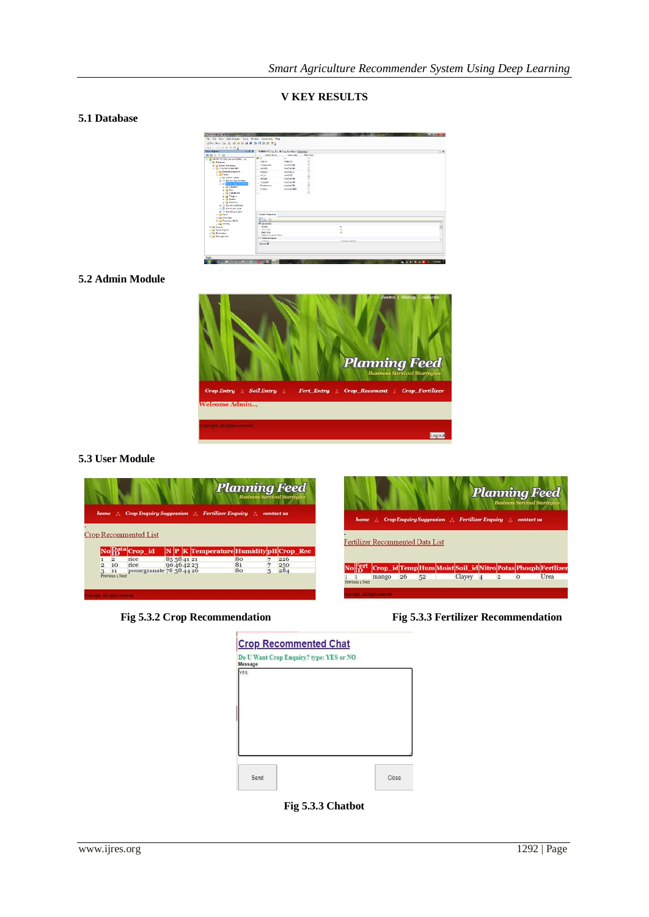**V KEY RESULTS**

## **5.1 Database**

| To Many edit SCE Server Measurement Studio Connect       |                                             |                  |             |                            | $-100 - 5 - 5$    |
|----------------------------------------------------------|---------------------------------------------|------------------|-------------|----------------------------|-------------------|
| Fig. Edit View TableDakane, Tools Window Community Help. |                                             |                  |             |                            |                   |
| <b>The Cost B</b> B B F T M B & B B B F R                |                                             |                  |             |                            |                   |
| 16 1 经回报范围。                                              |                                             |                  |             |                            |                   |
| <b>Object signers</b><br>$-0 \times$                     | ADMIN PCCree Re., N Cree FortFort (Summary) |                  |             |                            | $+ 8$             |
| <b>图书</b> 图片图                                            | Colom Nave                                  | <b>Dela Fasc</b> | Allow Follo |                            |                   |
| = 8 ADMIN-PC (SQL Server 9.0.3042 - sai)                 | <b>VE U</b>                                 | $\mathbf{r}$     | E           |                            |                   |
| - Ca Debbase                                             | Crop. id.                                   | nitive(all)      | b           |                            |                   |
| <b>B. J. Solar: Prizboo</b>                              | Termseubare                                 | mediat00         | m           |                            |                   |
| <b>Call Cope Recommended</b>                             | Liverpoor                                   | number, all      | B           |                            |                   |
| C Ca Petebese Ciacomm                                    | Mexico                                      | menture (G)      | R           |                            |                   |
| = List Fabrics                                           | Soll k5                                     | edwick0          |             |                            |                   |
| at Ca System Tebles                                      | Nitrogen.                                   | marchael.30v     | Ë           |                            |                   |
| <b>B R die N Corp Fediae</b>                             | <b>Publishers</b>                           | mediately        | b           |                            |                   |
| 11 and the N Case for Detail                             | <b>Distances</b>                            | contection       | B           |                            |                   |
| <b>B The Columns</b>                                     | <b>Purchase</b>                             | marketing        | E           |                            |                   |
| or the Keys                                              |                                             |                  | E           |                            |                   |
| to the Conditions                                        |                                             |                  |             |                            |                   |
| <b>IR THE TRONGHA</b><br>as the bankers.                 |                                             |                  |             |                            |                   |
| <b>B In</b> Strike                                       |                                             |                  |             |                            |                   |
| a <sup>3</sup> doll Codubi                               |                                             |                  |             |                            |                   |
| as III don't fell fore                                   |                                             |                  |             |                            |                   |
| a 3 de Ribetosh                                          |                                             |                  |             |                            |                   |
| $=$ $\Box$ West                                          | Column Properties                           |                  |             |                            |                   |
| a Ca Syndriven                                           |                                             |                  |             |                            |                   |
| <b>2 La Programmability</b>                              | 司如国                                         |                  |             |                            |                   |
| to the Second                                            | <b>B. (Grantof)</b>                         |                  |             |                            |                   |
| <b>E Ca Sweeter</b>                                      | (Name)                                      |                  |             | <b>H</b>                   | ā                 |
| : Ca Sever Objects                                       | Allma Model<br><b>Grie Tere</b>             |                  |             | No<br><b>H</b>             |                   |
| a Ca Resterion                                           | Detections or District                      |                  |             |                            |                   |
| <b>T Eli Massooners</b>                                  | El Table Designer                           |                  |             |                            |                   |
|                                                          | Collation                                   |                  |             | <b>Charles on Advisers</b> |                   |
|                                                          | <b>Reprendt</b>                             |                  |             |                            |                   |
|                                                          |                                             |                  |             |                            |                   |
|                                                          |                                             |                  |             |                            |                   |
|                                                          |                                             |                  |             |                            |                   |
| Roady                                                    |                                             |                  |             |                            |                   |
|                                                          | ٠                                           |                  |             |                            | 4003180<br>saure. |
|                                                          |                                             |                  |             |                            |                   |

## **5.2 Admin Module**



## **5.3 User Module**